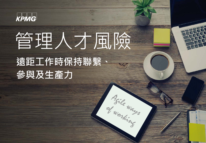

# 管理人才風險

Agile ways

## **遠距工作時保持聯繫、 參與及生產力**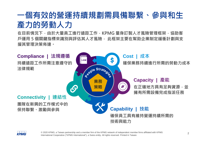## **一個有效的營運持續規劃需具備聯繫、參與和生 產力的勞動人力**

**在目前情況下,由於大量員工進行遠距工作,KPMG 量身訂製人才風險管理框架,協助客 戶運用 5 個關鍵指標來識別與評估其人才風險, 此框架主要在幫助企業制定緩衝計劃與支 援其管理決策佈達。**





2 © 2020 KPMG, a Taiwan partnership and a member firm of the KPMG network of independent member firms affiliated with KPMG International Cooperative ("KPMG International"), a Swiss entity. All rights reserved. Printed in Taiwan.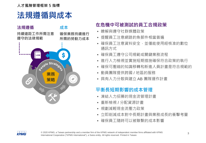**人才風險管理框架 5 指標**

## **法規遵循與成本**

**成本**

**確保業務持續進行 所需的勞動力成本**

#### **法規遵循**

**持續遠距工作所需注意 遵守的法律規範**



#### **在危機中可被測試的員工合規政策**

- 瞭解與遵守社群媒體政策
- 提醒員工注意網路釣魚郵件相當普遍
- 確保員工注意資料安全,並僅能使用經核准的數位. 通訊方式
- 確保員工遵守公司規範或關鍵業務流程
- 進行人力檢視並實施短期措施確保符合政策的執行
- 確保可壓縮的知識移轉和新進人員計書是符合規範的
- 動員團隊提供跨國 / 地區的服務
- 具有人力分散與建立 AB 團隊運作計畫

#### **平衡長短期影響的成本管理**

- 凍結人力招募的現金流管理計畫
- 重新檢視 / 分配資源計畫
- 規劃減輕現金流壓力政策
- 立即削減成本對中長期計畫與業務成長的衝擊考量
- 確保員工隨時可以被聯繫的成本影響

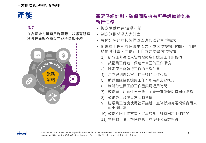#### **產能**

**在合適地方具有足夠資源,並擁有所需 科技技術與心態以完成所指派任務**



### **產能** 医苯基甲酸 医二甲基甲酸 医甲基甲酰基甲酸 医甲基甲酸 **執行任務**

- 擬定關鍵角色/活動清單
- 制定短期勞動人力計畫
- 具備足夠的科技設備以回應和滿足客戶需求
- 促進員工福利與保護生產力,並大規模採用遠距工作的 結構性計畫,而遠距工作方式規畫可含括如下:
	- 1) 瞭解並非每個人皆可輕鬆進行猿距工作的轉換
	- 2) 鼓勵員工創造一個適合自己的工作環境
	- 3) 制定每日需執行工作的日程計畫
	- 4) 建立與到辦公室工作一樣的工作心態
	- 5) 鼓勵團隊接受遠距工作可能為新常態模式
	- 6) 瞭解每位員工的工作量與可運用時間
	- 7) 鼓勵員工活動性強一些,不要一直坐著保持同個姿勢
	- 8) 鼓勵員工改變日常活動習慣
	- 9) 建議員工適度使用社群媒體,並降低如從電視聲音而來 的干擾因素
	- 10) 鼓勵不同工作方式、健康飲食、維持固定工作時間
	- 11) 多運動、晚上準時休息,並多呼吸新鮮空氣

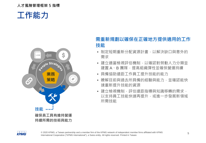#### **人才風險管理框架 5 指標**

## **工作能力**



#### **需重新規劃以確保在正確地方提供適用的工作 技能**

- 制定短期重新分配資源計畫,以解決缺口與意外的 需求
- 建立滴常檢視評估機制, 以確認對勞動人力分類並 建置 A、B 團隊, 提高組織彈性並確保營運持續
- 具備協助遠距工作員工提升技能的能力
- 瞭解目前與過去所具備的經驗與能力,並確認能快 速重新提升技能的資源
- 建立檢視機制,評估遠距指導與知識移轉的需求, 以支持員工技能快速再提升,或進一步發展新領域 所需技能

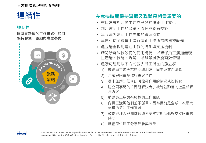#### **人才風險管理框架 5 指標**

## **連結性**

#### **連結性**

#### **團隊在新興的工作模式中如何 保持聯繫、激勵與高度參與**



#### **在危機時期保持溝通及聯繫是相當重要的**

- 在日常業務活動中建立良好的遠距工作文化
- 制定遠距工作的政策、流程與既有規範
- 建立海外遠距工作需求的管理模式
- 建置可使全體員工進行遠距工作所需的科技設備
- 建立能全採用遠距工作的培訓與支援機制
- 確認所需科技設備的使用情況, 以確保員工溝涌無礙, 且產能、技能、規範、聯繫等風險能有效管理
- 建議可運用以下方式減少員工潛在的孤立感:
	- 1) 鼓勵員工每天花時間與朋友、同事及客戶聯繫
	- 2) 建議與同事多進行專案合作
	- 3) 尋求並解決任何妨礙發揮作用的情況或挫折感
	- 4) 建立同事間的「問題解決者」機制並酌情向上呈報解 決方案
	- 5) 鼓勵員工參與有興趣的工作團隊
	- 6) 向員工強調他們並不孤單,因為目前是全球一次最大 規模的遠距工作實驗
	- 7) 鼓勵經理人與團隊領導者安排定期傾聽與支持同事的 時間
	- 8) 鼓勵每位員工分享經驗與感受



6 © 2020 KPMG, a Taiwan partnership and a member firm of the KPMG network of independent member firms affiliated with KPMG International Cooperative ("KPMG International"), a Swiss entity. All rights reserved. Printed in Taiwan.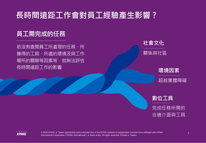## **長時間遠距工作會對員工經驗產生影響 ?**

## **員工需完成的任務**

若沒有查閱員工所處理的任務、所 獲得的工具、所處的環境及與工作 場所的關聯等因素等,就無法評估 長時間遠距工作的影響



#### **環境因素**

超越實體障礙



完成任務所需的 合適介面與工具



7 © 2020 KPMG, a Taiwan partnership and a member firm of the KPMG network of independent member firms affiliated with KPMG International Cooperative ("KPMG International"), a Swiss entity. All rights reserved. Printed in Taiwan.